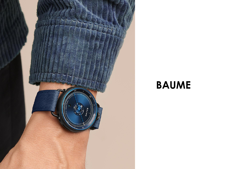

## **BAUME**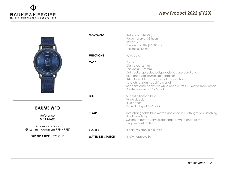

|                                           | <b>MOVEMENT</b>         | Automatic (SW200)<br>Power reserve: 38 hours<br>Jewels: 26<br>Frequency: 4Hz (28'800 vph)<br>Thickness: 4.6 mm                                                                                                                                                                                                             |
|-------------------------------------------|-------------------------|----------------------------------------------------------------------------------------------------------------------------------------------------------------------------------------------------------------------------------------------------------------------------------------------------------------------------|
| BAUME                                     | <b>FUNCTIONS</b>        | H/M, date                                                                                                                                                                                                                                                                                                                  |
|                                           | <b>CASE</b>             | Round<br>Diameter: 42 mm<br>Thickness: 10.2 mm<br>Anthracite upcycled polypropylene case band and<br>blue anodized aluminium container<br>Articulated black anodized aluminium horns<br>Scratch-resistant sapphire crystal<br>Sapphire case back with white decalc : WFO - Waste Free Ocean<br>Knurled crown at 12 o'clock |
|                                           | <b>DIAL</b>             | Sun satin-finished blue<br>White decals<br><b>Blue hands</b><br>Date display at 6 o'clock                                                                                                                                                                                                                                  |
| <b>BAUME WFO</b>                          |                         |                                                                                                                                                                                                                                                                                                                            |
| Reference<br>M0A10680<br>Automatic - Date | <b>STRAP</b>            | Interchangeable blue woven upcycled PET with light blue stitching<br><b>Black cork lining</b><br>System of button very reliable that allows to change the<br>strap without tools                                                                                                                                           |
| Ø 42 mm – Aluminium-RPP / RPET            | <b>BUCKLE</b>           | <b>Black PVD steel pin buckle</b>                                                                                                                                                                                                                                                                                          |
| <b>WORLD PRICE 1,370 CHF</b>              | <b>WATER-RESISTANCE</b> | 3 ATM (approx. 30m)                                                                                                                                                                                                                                                                                                        |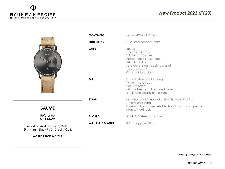

**WORLD PRICE** 460 CHF

## **P2** (EV22) *FY20 new products New Product 2022 (FY23)*

|                                                                                 | <b>MOVEMENT</b>         | Quartz (RONDA 6004.D)                                                                                                                                                             |
|---------------------------------------------------------------------------------|-------------------------|-----------------------------------------------------------------------------------------------------------------------------------------------------------------------------------|
|                                                                                 | <b>FUNCTIONS</b>        | H/M, small seconds, date                                                                                                                                                          |
| BAUME                                                                           | <b>CASE</b>             | Round<br>Diameter: 41 mm<br>Thickness: 7.56 mm<br>Polished black PVD - steel<br>Articulated horns<br>Scratch-resistant sapphire crystal<br>Full case back*<br>Crown at 12 o'clock |
|                                                                                 | <b>DIAL</b>             | Sun satin-finished slate-grey<br>White minute track<br>Gilt H/M hands<br>Gilt small seconds hand and bevel<br>Black date display at 6 o'clock                                     |
|                                                                                 | <b>STRAP</b>            | Interchangeable natural cork with black stitching<br>Natural cork lining<br>System of button very reliable that allows to change the                                              |
| <b>BAUME</b>                                                                    |                         | strap without tools                                                                                                                                                               |
| Reference<br>M0A10686                                                           | <b>BUCKLE</b>           | <b>Black PVD steel pin buckle</b>                                                                                                                                                 |
| Quartz - Small Seconds / Date<br>$\varnothing$ 41 mm – Black PVD - Steel / Cork | <b>WATER-RESISTANCE</b> | 3 ATM (approx. 30m)                                                                                                                                                               |

*\* Possibility to engrave the case back*